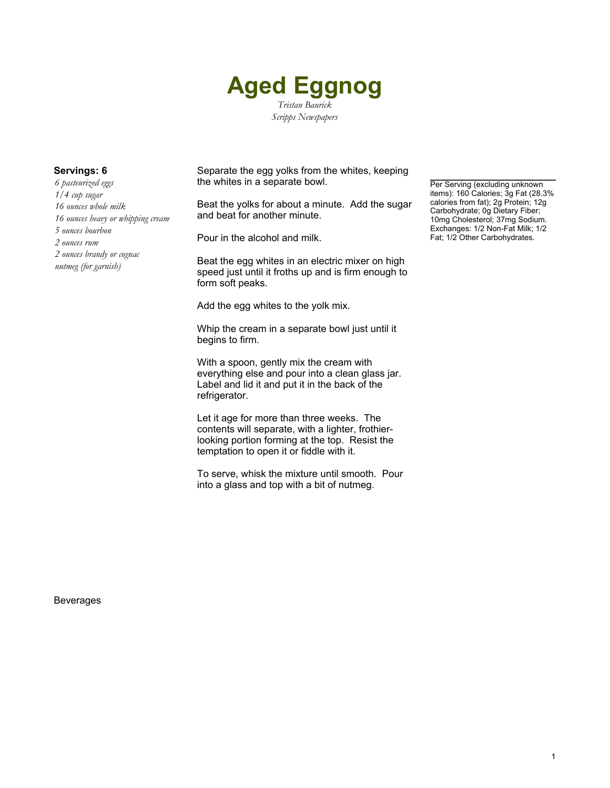

*6 pasteurized eggs 1/4 cup sugar 16 ounces whole milk 16 ounces heavy or whipping cream 5 ounces bourbon 2 ounces rum 2 ounces brandy or cognac nutmeg (for garnish)*

**Servings: 6** Separate the egg yolks from the whites, keeping the whites in a separate bowl.

> Beat the yolks for about a minute. Add the sugar and beat for another minute.

Pour in the alcohol and milk.

Beat the egg whites in an electric mixer on high speed just until it froths up and is firm enough to form soft peaks.

Add the egg whites to the yolk mix.

Whip the cream in a separate bowl just until it begins to firm.

With a spoon, gently mix the cream with everything else and pour into a clean glass jar. Label and lid it and put it in the back of the refrigerator.

Let it age for more than three weeks. The contents will separate, with a lighter, frothierlooking portion forming at the top. Resist the temptation to open it or fiddle with it.

To serve, whisk the mixture until smooth. Pour into a glass and top with a bit of nutmeg.

Per Serving (excluding unknown items): 160 Calories; 3g Fat (28.3% calories from fat); 2g Protein; 12g Carbohydrate; 0g Dietary Fiber; 10mg Cholesterol; 37mg Sodium. Exchanges: 1/2 Non-Fat Milk; 1/2 Fat; 1/2 Other Carbohydrates.

Beverages